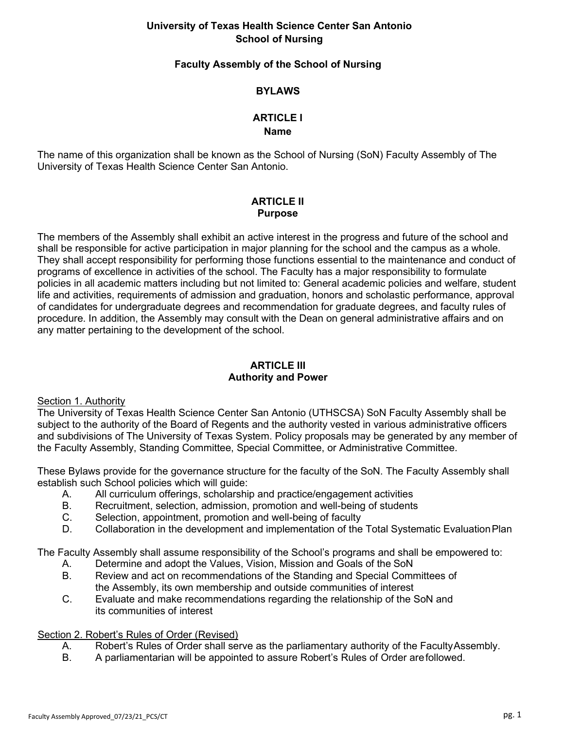# **University of Texas Health Science Center San Antonio School of Nursing**

## **Faculty Assembly of the School of Nursing**

# **BYLAWS**

#### **ARTICLE I Name**

The name of this organization shall be known as the School of Nursing (SoN) Faculty Assembly of The University of Texas Health Science Center San Antonio.

# **ARTICLE II Purpose**

The members of the Assembly shall exhibit an active interest in the progress and future of the school and shall be responsible for active participation in major planning for the school and the campus as a whole. They shall accept responsibility for performing those functions essential to the maintenance and conduct of programs of excellence in activities of the school. The Faculty has a major responsibility to formulate policies in all academic matters including but not limited to: General academic policies and welfare, student life and activities, requirements of admission and graduation, honors and scholastic performance, approval of candidates for undergraduate degrees and recommendation for graduate degrees, and faculty rules of procedure. In addition, the Assembly may consult with the Dean on general administrative affairs and on any matter pertaining to the development of the school.

# **ARTICLE III Authority and Power**

#### Section 1. Authority

The University of Texas Health Science Center San Antonio (UTHSCSA) SoN Faculty Assembly shall be subject to the authority of the Board of Regents and the authority vested in various administrative officers and subdivisions of The University of Texas System. Policy proposals may be generated by any member of the Faculty Assembly, Standing Committee, Special Committee, or Administrative Committee.

These Bylaws provide for the governance structure for the faculty of the SoN. The Faculty Assembly shall establish such School policies which will guide:

- A. All curriculum offerings, scholarship and practice/engagement activities
- B. Recruitment, selection, admission, promotion and well-being of students
- C. Selection, appointment, promotion and well-being of faculty
- D. Collaboration in the development and implementation of the Total Systematic EvaluationPlan

The Faculty Assembly shall assume responsibility of the School's programs and shall be empowered to:

- A. Determine and adopt the Values, Vision, Mission and Goals of the SoN
- B. Review and act on recommendations of the Standing and Special Committees of the Assembly, its own membership and outside communities of interest
- C. Evaluate and make recommendations regarding the relationship of the SoN and its communities of interest

#### Section 2. Robert's Rules of Order (Revised)

- A. Robert's Rules of Order shall serve as the parliamentary authority of the FacultyAssembly.
- B. A parliamentarian will be appointed to assure Robert's Rules of Order arefollowed.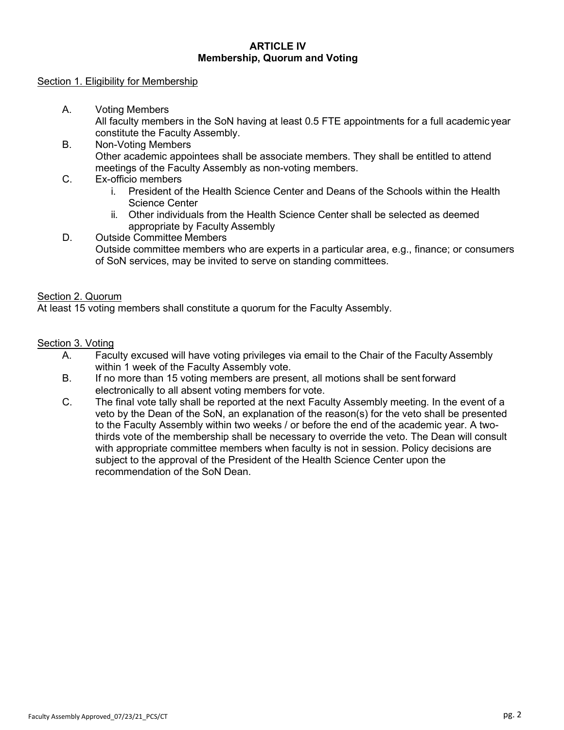### **ARTICLE IV Membership, Quorum and Voting**

#### Section 1. Eligibility for Membership

- A. Voting Members All faculty members in the SoN having at least 0.5 FTE appointments for a full academic year constitute the Faculty Assembly.
- B. Non-Voting Members Other academic appointees shall be associate members. They shall be entitled to attend meetings of the Faculty Assembly as non-voting members.
- C. Ex-officio members
	- i. President of the Health Science Center and Deans of the Schools within the Health Science Center
	- ii. Other individuals from the Health Science Center shall be selected as deemed appropriate by Faculty Assembly
- D. Outside Committee Members Outside committee members who are experts in a particular area, e.g., finance; or consumers of SoN services, may be invited to serve on standing committees.

#### Section 2. Quorum

At least 15 voting members shall constitute a quorum for the Faculty Assembly.

#### Section 3. Voting

- A. Faculty excused will have voting privileges via email to the Chair of the Faculty Assembly within 1 week of the Faculty Assembly vote.
- B. If no more than 15 voting members are present, all motions shall be sent forward electronically to all absent voting members for vote.
- C. The final vote tally shall be reported at the next Faculty Assembly meeting. In the event of a veto by the Dean of the SoN, an explanation of the reason(s) for the veto shall be presented to the Faculty Assembly within two weeks / or before the end of the academic year. A twothirds vote of the membership shall be necessary to override the veto. The Dean will consult with appropriate committee members when faculty is not in session. Policy decisions are subject to the approval of the President of the Health Science Center upon the recommendation of the SoN Dean.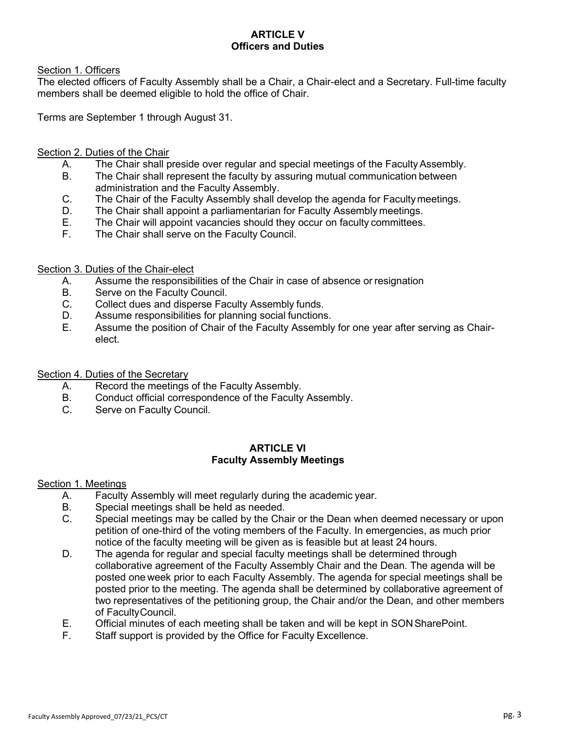# **ARTICLE V Officers and Duties**

## Section 1. Officers

The elected officers of Faculty Assembly shall be a Chair, a Chair-elect and a Secretary. Full-time faculty members shall be deemed eligible to hold the office of Chair.

Terms are September 1 through August 31.

## Section 2. Duties of the Chair

- A. The Chair shall preside over regular and special meetings of the Faculty Assembly.
- B. The Chair shall represent the faculty by assuring mutual communication between administration and the Faculty Assembly.
- C. The Chair of the Faculty Assembly shall develop the agenda for Facultymeetings.
- D. The Chair shall appoint a parliamentarian for Faculty Assembly meetings.
- E. The Chair will appoint vacancies should they occur on faculty committees.
- F. The Chair shall serve on the Faculty Council.

#### Section 3. Duties of the Chair-elect

- A. Assume the responsibilities of the Chair in case of absence or resignation
- B. Serve on the Faculty Council.
- C. Collect dues and disperse Faculty Assembly funds.
- D. Assume responsibilities for planning social functions.
- E. Assume the position of Chair of the Faculty Assembly for one year after serving as Chairelect.

#### Section 4. Duties of the Secretary

- A. Record the meetings of the Faculty Assembly.
- B. Conduct official correspondence of the Faculty Assembly.
- C. Serve on Faculty Council.

#### **ARTICLE VI Faculty Assembly Meetings**

## Section 1. Meetings

- A. Faculty Assembly will meet regularly during the academic year.
- B. Special meetings shall be held as needed.
- C. Special meetings may be called by the Chair or the Dean when deemed necessary or upon petition of one-third of the voting members of the Faculty. In emergencies, as much prior notice of the faculty meeting will be given as is feasible but at least 24 hours.
- D. The agenda for regular and special faculty meetings shall be determined through collaborative agreement of the Faculty Assembly Chair and the Dean. The agenda will be posted one week prior to each Faculty Assembly. The agenda for special meetings shall be posted prior to the meeting. The agenda shall be determined by collaborative agreement of two representatives of the petitioning group, the Chair and/or the Dean, and other members of FacultyCouncil.
- E. Official minutes of each meeting shall be taken and will be kept in SONSharePoint.
- F. Staff support is provided by the Office for Faculty Excellence.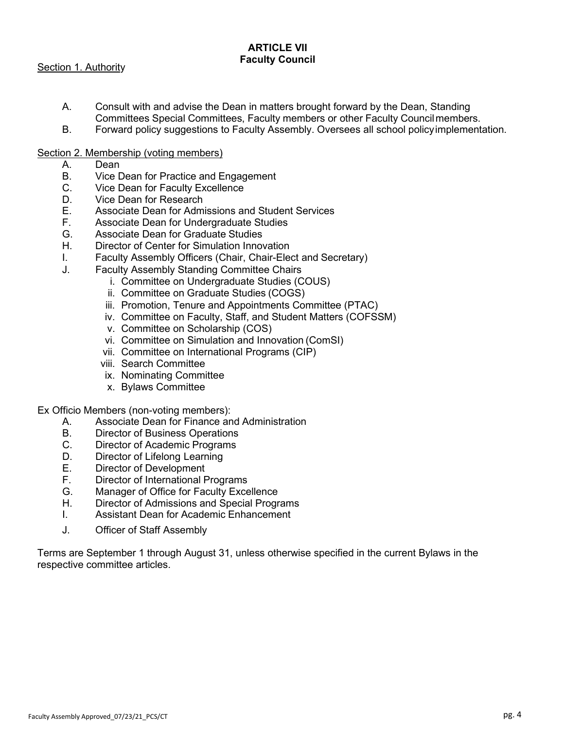## **ARTICLE VII Faculty Council**

Section 1. Authority

- A. Consult with and advise the Dean in matters brought forward by the Dean, Standing Committees Special Committees, Faculty members or other Faculty Councilmembers.
- B. Forward policy suggestions to Faculty Assembly. Oversees all school policyimplementation.
- Section 2. Membership (voting members)
	- A. Dean
	- B. Vice Dean for Practice and Engagement
	- C. Vice Dean for Faculty Excellence
	- D. Vice Dean for Research
	- E. Associate Dean for Admissions and Student Services
	- F. Associate Dean for Undergraduate Studies
	- G. Associate Dean for Graduate Studies
	- H. Director of Center for Simulation Innovation
	- I. Faculty Assembly Officers (Chair, Chair-Elect and Secretary)
	- J. Faculty Assembly Standing Committee Chairs
		- i. Committee on Undergraduate Studies (COUS)
		- ii. Committee on Graduate Studies (COGS)
		- iii. Promotion, Tenure and Appointments Committee (PTAC)
		- iv. Committee on Faculty, Staff, and Student Matters (COFSSM)
		- v. Committee on Scholarship (COS)
		- vi. Committee on Simulation and Innovation (ComSI)
		- vii. Committee on International Programs (CIP)
		- viii. Search Committee
		- ix. Nominating Committee
		- x. Bylaws Committee

Ex Officio Members (non-voting members):

- A. Associate Dean for Finance and Administration
- B. Director of Business Operations
- C. Director of Academic Programs
- D. Director of Lifelong Learning
- E. Director of Development
- F. Director of International Programs
- G. Manager of Office for Faculty Excellence
- H. Director of Admissions and Special Programs
- I. Assistant Dean for Academic Enhancement
- J. Officer of Staff Assembly

Terms are September 1 through August 31, unless otherwise specified in the current Bylaws in the respective committee articles.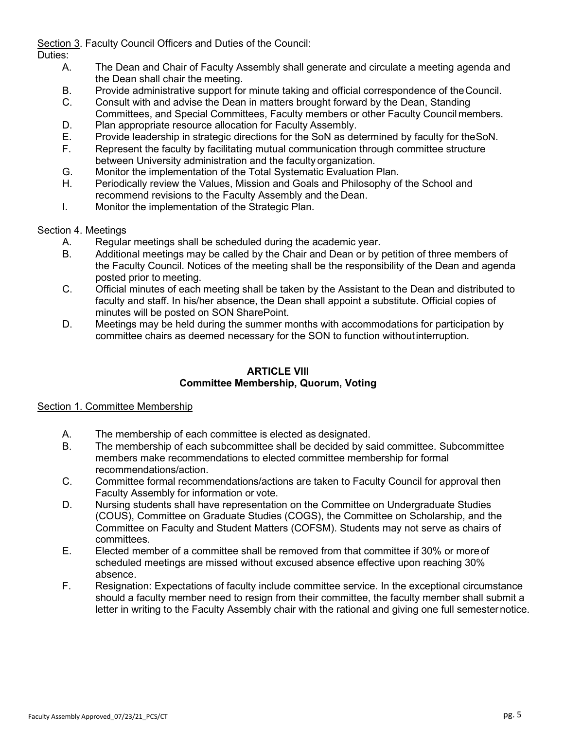Section 3. Faculty Council Officers and Duties of the Council:

Duties:

- A. The Dean and Chair of Faculty Assembly shall generate and circulate a meeting agenda and the Dean shall chair the meeting.
- B. Provide administrative support for minute taking and official correspondence of theCouncil.
- C. Consult with and advise the Dean in matters brought forward by the Dean, Standing Committees, and Special Committees, Faculty members or other Faculty Councilmembers.
- D. Plan appropriate resource allocation for Faculty Assembly.
- E. Provide leadership in strategic directions for the SoN as determined by faculty for theSoN.
- F. Represent the faculty by facilitating mutual communication through committee structure between University administration and the faculty organization.
- G. Monitor the implementation of the Total Systematic Evaluation Plan.
- H. Periodically review the Values, Mission and Goals and Philosophy of the School and recommend revisions to the Faculty Assembly and the Dean.
- I. Monitor the implementation of the Strategic Plan.

# Section 4. Meetings

- A. Regular meetings shall be scheduled during the academic year.
- B. Additional meetings may be called by the Chair and Dean or by petition of three members of the Faculty Council. Notices of the meeting shall be the responsibility of the Dean and agenda posted prior to meeting.
- C. Official minutes of each meeting shall be taken by the Assistant to the Dean and distributed to faculty and staff. In his/her absence, the Dean shall appoint a substitute. Official copies of minutes will be posted on SON SharePoint.
- D. Meetings may be held during the summer months with accommodations for participation by committee chairs as deemed necessary for the SON to function withoutinterruption.

# **ARTICLE VIII Committee Membership, Quorum, Voting**

# Section 1. Committee Membership

- A. The membership of each committee is elected as designated.
- B. The membership of each subcommittee shall be decided by said committee. Subcommittee members make recommendations to elected committee membership for formal recommendations/action.
- C. Committee formal recommendations/actions are taken to Faculty Council for approval then Faculty Assembly for information or vote.
- D. Nursing students shall have representation on the Committee on Undergraduate Studies (COUS), Committee on Graduate Studies (COGS), the Committee on Scholarship, and the Committee on Faculty and Student Matters (COFSM). Students may not serve as chairs of committees.
- E. Elected member of a committee shall be removed from that committee if 30% or more of scheduled meetings are missed without excused absence effective upon reaching 30% absence.
- F. Resignation: Expectations of faculty include committee service. In the exceptional circumstance should a faculty member need to resign from their committee, the faculty member shall submit a letter in writing to the Faculty Assembly chair with the rational and giving one full semesternotice.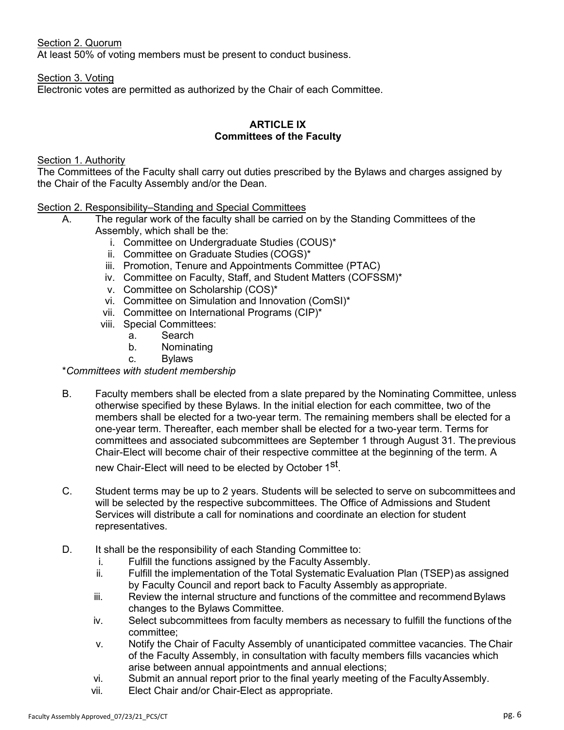#### Section 2. Quorum

At least 50% of voting members must be present to conduct business.

#### Section 3. Voting

Electronic votes are permitted as authorized by the Chair of each Committee.

### **ARTICLE IX Committees of the Faculty**

#### Section 1. Authority

The Committees of the Faculty shall carry out duties prescribed by the Bylaws and charges assigned by the Chair of the Faculty Assembly and/or the Dean.

#### Section 2. Responsibility–Standing and Special Committees

- A. The regular work of the faculty shall be carried on by the Standing Committees of the Assembly, which shall be the:
	- i. Committee on Undergraduate Studies (COUS)\*
	- ii. Committee on Graduate Studies (COGS)\*
	- iii. Promotion, Tenure and Appointments Committee (PTAC)
	- iv. Committee on Faculty, Staff, and Student Matters (COFSSM)\*
	- v. Committee on Scholarship (COS)\*
	- vi. Committee on Simulation and Innovation (ComSI)\*
	- vii. Committee on International Programs (CIP)\*
	- viii. Special Committees:
		- a. Search
		- b. Nominating
		- c. Bylaws

## \**Committees with student membership*

B. Faculty members shall be elected from a slate prepared by the Nominating Committee, unless otherwise specified by these Bylaws. In the initial election for each committee, two of the members shall be elected for a two-year term. The remaining members shall be elected for a one-year term. Thereafter, each member shall be elected for a two-year term. Terms for committees and associated subcommittees are September 1 through August 31. The previous Chair-Elect will become chair of their respective committee at the beginning of the term. A

new Chair-Elect will need to be elected by October 1<sup>st</sup>.

- C. Student terms may be up to 2 years. Students will be selected to serve on subcommittees and will be selected by the respective subcommittees. The Office of Admissions and Student Services will distribute a call for nominations and coordinate an election for student representatives.
- D. It shall be the responsibility of each Standing Committee to:
	- i. Fulfill the functions assigned by the Faculty Assembly.
	- ii. Fulfill the implementation of the Total Systematic Evaluation Plan (TSEP)as assigned by Faculty Council and report back to Faculty Assembly as appropriate.
	- iii. Review the internal structure and functions of the committee and recommend Bylaws changes to the Bylaws Committee.
	- iv. Select subcommittees from faculty members as necessary to fulfill the functions of the committee;
	- v. Notify the Chair of Faculty Assembly of unanticipated committee vacancies. The Chair of the Faculty Assembly, in consultation with faculty members fills vacancies which arise between annual appointments and annual elections;
	- vi. Submit an annual report prior to the final yearly meeting of the FacultyAssembly.
	- vii. Elect Chair and/or Chair-Elect as appropriate.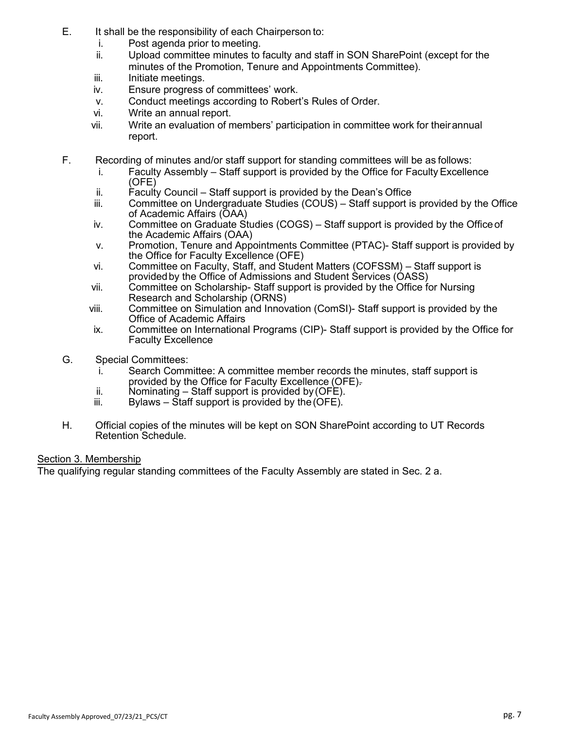- E. It shall be the responsibility of each Chairperson to:
	- i. Post agenda prior to meeting.
	- ii. Upload committee minutes to faculty and staff in SON SharePoint (except for the minutes of the Promotion, Tenure and Appointments Committee).
	- iii. Initiate meetings.
	- iv. Ensure progress of committees' work.
	- v. Conduct meetings according to Robert's Rules of Order.
	- vi. Write an annual report.
	- vii. Write an evaluation of members' participation in committee work for theirannual report.
- F. Recording of minutes and/or staff support for standing committees will be as follows:
	- i. Faculty Assembly Staff support is provided by the Office for Faculty Excellence (OFE)
	- $ii.$  Faculty Council Staff support is provided by the Dean's Office
	- iii. Committee on Undergraduate Studies (COUS) Staff support is provided by the Office of Academic Affairs (OAA)
	- iv. Committee on Graduate Studies (COGS) Staff support is provided by the Officeof the Academic Affairs (OAA)
	- v. Promotion, Tenure and Appointments Committee (PTAC)- Staff support is provided by the Office for Faculty Excellence (OFE)
	- vi. Committee on Faculty, Staff, and Student Matters (COFSSM) Staff support is providedby the Office of Admissions and Student Services (OASS)
	- vii. Committee on Scholarship- Staff support is provided by the Office for Nursing Research and Scholarship (ORNS)
	- viii. Committee on Simulation and Innovation (ComSI)- Staff support is provided by the Office of Academic Affairs
	- ix. Committee on International Programs (CIP)- Staff support is provided by the Office for Faculty Excellence
- G. Special Committees:
	- i. Search Committee: A committee member records the minutes, staff support is provided by the Office for Faculty Excellence (OFE).
	- ii. Nominating  $-$  Staff support is provided by (OFE).
	- $iii.$  Bylaws Staff support is provided by the (OFE).
- H. Official copies of the minutes will be kept on SON SharePoint according to UT Records Retention Schedule.

## Section 3. Membership

The qualifying regular standing committees of the Faculty Assembly are stated in Sec. 2 a.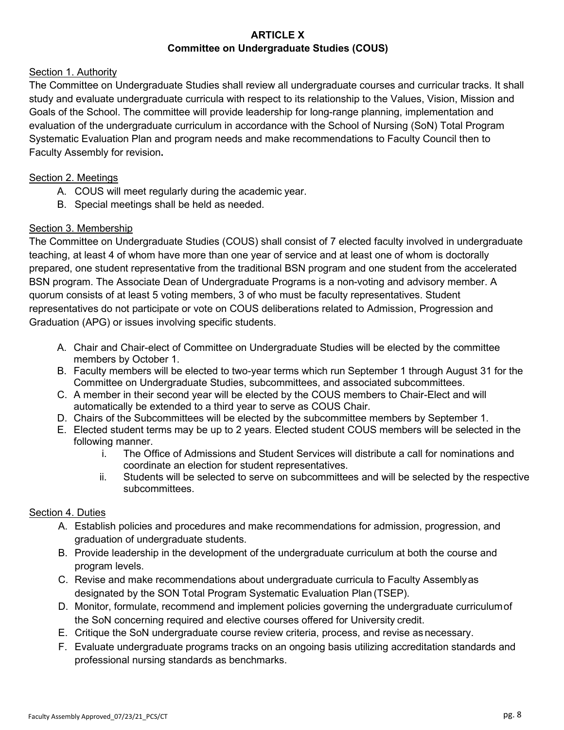# **ARTICLE X Committee on Undergraduate Studies (COUS)**

# Section 1. Authority

The Committee on Undergraduate Studies shall review all undergraduate courses and curricular tracks. It shall study and evaluate undergraduate curricula with respect to its relationship to the Values, Vision, Mission and Goals of the School. The committee will provide leadership for long-range planning, implementation and evaluation of the undergraduate curriculum in accordance with the School of Nursing (SoN) Total Program Systematic Evaluation Plan and program needs and make recommendations to Faculty Council then to Faculty Assembly for revision**.**

# Section 2. Meetings

- A. COUS will meet regularly during the academic year.
- B. Special meetings shall be held as needed.

# Section 3. Membership

The Committee on Undergraduate Studies (COUS) shall consist of 7 elected faculty involved in undergraduate teaching, at least 4 of whom have more than one year of service and at least one of whom is doctorally prepared, one student representative from the traditional BSN program and one student from the accelerated BSN program. The Associate Dean of Undergraduate Programs is a non-voting and advisory member. A quorum consists of at least 5 voting members, 3 of who must be faculty representatives. Student representatives do not participate or vote on COUS deliberations related to Admission, Progression and Graduation (APG) or issues involving specific students.

- A. Chair and Chair-elect of Committee on Undergraduate Studies will be elected by the committee members by October 1.
- B. Faculty members will be elected to two-year terms which run September 1 through August 31 for the Committee on Undergraduate Studies, subcommittees, and associated subcommittees.
- C. A member in their second year will be elected by the COUS members to Chair-Elect and will automatically be extended to a third year to serve as COUS Chair.
- D. Chairs of the Subcommittees will be elected by the subcommittee members by September 1.
- E. Elected student terms may be up to 2 years. Elected student COUS members will be selected in the following manner.
	- i. The Office of Admissions and Student Services will distribute a call for nominations and coordinate an election for student representatives.
	- ii. Students will be selected to serve on subcommittees and will be selected by the respective subcommittees.

## Section 4. Duties

- A. Establish policies and procedures and make recommendations for admission, progression, and graduation of undergraduate students.
- B. Provide leadership in the development of the undergraduate curriculum at both the course and program levels.
- C. Revise and make recommendations about undergraduate curricula to Faculty Assemblyas designated by the SON Total Program Systematic Evaluation Plan (TSEP).
- D. Monitor, formulate, recommend and implement policies governing the undergraduate curriculumof the SoN concerning required and elective courses offered for University credit.
- E. Critique the SoN undergraduate course review criteria, process, and revise asnecessary.
- F. Evaluate undergraduate programs tracks on an ongoing basis utilizing accreditation standards and professional nursing standards as benchmarks.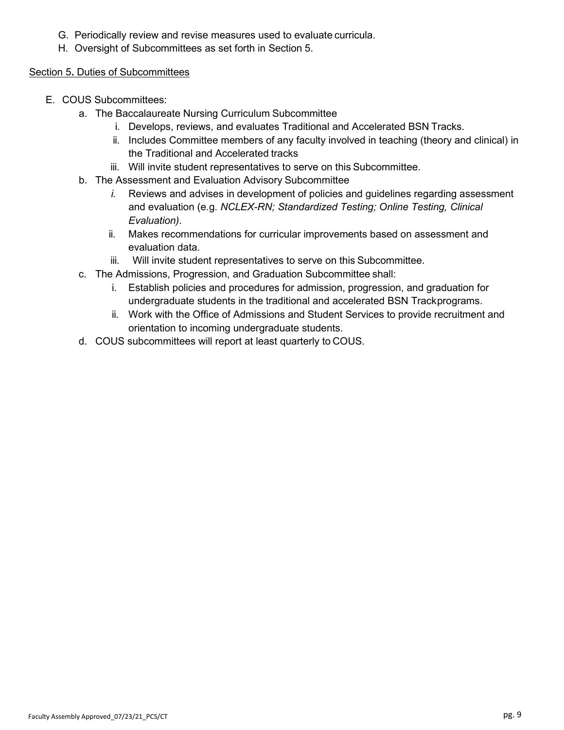- G. Periodically review and revise measures used to evaluate curricula.
- H. Oversight of Subcommittees as set forth in Section 5.

## Section 5**.** Duties of Subcommittees

- E. COUS Subcommittees:
	- a. The Baccalaureate Nursing Curriculum Subcommittee
		- i. Develops, reviews, and evaluates Traditional and Accelerated BSN Tracks.
		- ii. Includes Committee members of any faculty involved in teaching (theory and clinical) in the Traditional and Accelerated tracks
		- iii. Will invite student representatives to serve on this Subcommittee.
	- b. The Assessment and Evaluation Advisory Subcommittee
		- *i.* Reviews and advises in development of policies and guidelines regarding assessment and evaluation (e.g. *NCLEX-RN; Standardized Testing; Online Testing, Clinical Evaluation).*
		- ii. Makes recommendations for curricular improvements based on assessment and evaluation data.
		- iii. Will invite student representatives to serve on this Subcommittee.
	- c. The Admissions, Progression, and Graduation Subcommittee shall:
		- i. Establish policies and procedures for admission, progression, and graduation for undergraduate students in the traditional and accelerated BSN Trackprograms.
		- ii. Work with the Office of Admissions and Student Services to provide recruitment and orientation to incoming undergraduate students.
	- d. COUS subcommittees will report at least quarterly to COUS.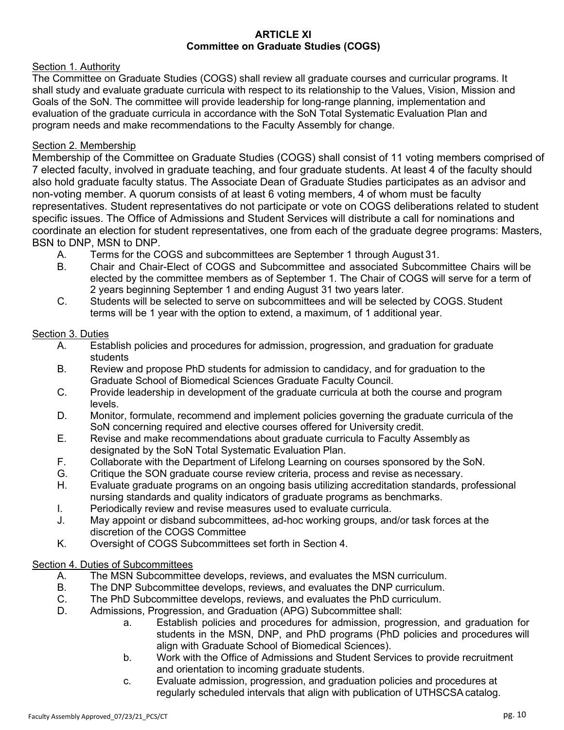#### **ARTICLE XI Committee on Graduate Studies (COGS)**

#### Section 1. Authority

The Committee on Graduate Studies (COGS) shall review all graduate courses and curricular programs. It shall study and evaluate graduate curricula with respect to its relationship to the Values, Vision, Mission and Goals of the SoN. The committee will provide leadership for long-range planning, implementation and evaluation of the graduate curricula in accordance with the SoN Total Systematic Evaluation Plan and program needs and make recommendations to the Faculty Assembly for change.

#### Section 2. Membership

Membership of the Committee on Graduate Studies (COGS) shall consist of 11 voting members comprised of 7 elected faculty, involved in graduate teaching, and four graduate students. At least 4 of the faculty should also hold graduate faculty status. The Associate Dean of Graduate Studies participates as an advisor and non-voting member. A quorum consists of at least 6 voting members, 4 of whom must be faculty representatives. Student representatives do not participate or vote on COGS deliberations related to student specific issues. The Office of Admissions and Student Services will distribute a call for nominations and coordinate an election for student representatives, one from each of the graduate degree programs: Masters, BSN to DNP, MSN to DNP.

- A. Terms for the COGS and subcommittees are September 1 through August 31.
- B. Chair and Chair-Elect of COGS and Subcommittee and associated Subcommittee Chairs will be elected by the committee members as of September 1. The Chair of COGS will serve for a term of 2 years beginning September 1 and ending August 31 two years later.
- C. Students will be selected to serve on subcommittees and will be selected by COGS.Student terms will be 1 year with the option to extend, a maximum, of 1 additional year.

#### Section 3. Duties

- A. Establish policies and procedures for admission, progression, and graduation for graduate students
- B. Review and propose PhD students for admission to candidacy, and for graduation to the Graduate School of Biomedical Sciences Graduate Faculty Council.
- C. Provide leadership in development of the graduate curricula at both the course and program levels.
- D. Monitor, formulate, recommend and implement policies governing the graduate curricula of the SoN concerning required and elective courses offered for University credit.
- E. Revise and make recommendations about graduate curricula to Faculty Assembly as designated by the SoN Total Systematic Evaluation Plan.
- F. Collaborate with the Department of Lifelong Learning on courses sponsored by the SoN.
- G. Critique the SON graduate course review criteria, process and revise as necessary.
- H. Evaluate graduate programs on an ongoing basis utilizing accreditation standards, professional nursing standards and quality indicators of graduate programs as benchmarks.
- I. Periodically review and revise measures used to evaluate curricula.
- J. May appoint or disband subcommittees, ad-hoc working groups, and/or task forces at the discretion of the COGS Committee
- K. Oversight of COGS Subcommittees set forth in Section 4.

## Section 4. Duties of Subcommittees

- A. The MSN Subcommittee develops, reviews, and evaluates the MSN curriculum.
- B. The DNP Subcommittee develops, reviews, and evaluates the DNP curriculum.
- C. The PhD Subcommittee develops, reviews, and evaluates the PhD curriculum.
- D. Admissions, Progression, and Graduation (APG) Subcommittee shall:
	- a. Establish policies and procedures for admission, progression, and graduation for students in the MSN, DNP, and PhD programs (PhD policies and procedures will align with Graduate School of Biomedical Sciences).
	- b. Work with the Office of Admissions and Student Services to provide recruitment and orientation to incoming graduate students.
	- c. Evaluate admission, progression, and graduation policies and procedures at regularly scheduled intervals that align with publication of UTHSCSA catalog.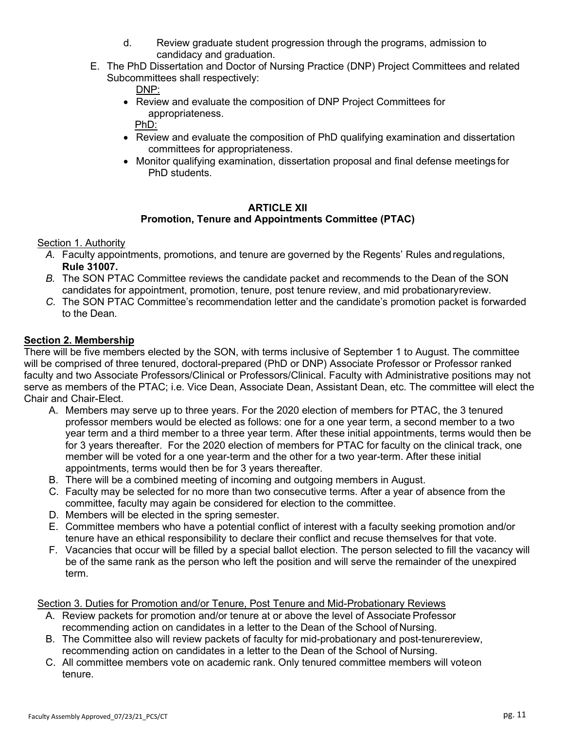- d. Review graduate student progression through the programs, admission to candidacy and graduation.
- E. The PhD Dissertation and Doctor of Nursing Practice (DNP) Project Committees and related Subcommittees shall respectively:

DNP:

• Review and evaluate the composition of DNP Project Committees for appropriateness.

PhD:

- Review and evaluate the composition of PhD qualifying examination and dissertation committees for appropriateness.
- Monitor qualifying examination, dissertation proposal and final defense meetings for PhD students.

#### **ARTICLE XII Promotion, Tenure and Appointments Committee (PTAC)**

Section 1. Authority

- *A.* Faculty appointments, promotions, and tenure are governed by the Regents' Rules andregulations, **Rule 31007.**
- *B.* The SON PTAC Committee reviews the candidate packet and recommends to the Dean of the SON candidates for appointment, promotion, tenure, post tenure review, and mid probationaryreview.
- *C.* The SON PTAC Committee's recommendation letter and the candidate's promotion packet is forwarded to the Dean.

# **Section 2. Membership**

There will be five members elected by the SON, with terms inclusive of September 1 to August. The committee will be comprised of three tenured, doctoral-prepared (PhD or DNP) Associate Professor or Professor ranked faculty and two Associate Professors/Clinical or Professors/Clinical. Faculty with Administrative positions may not serve as members of the PTAC; i.e. Vice Dean, Associate Dean, Assistant Dean, etc. The committee will elect the Chair and Chair-Elect.

- A. Members may serve up to three years. For the 2020 election of members for PTAC, the 3 tenured professor members would be elected as follows: one for a one year term, a second member to a two year term and a third member to a three year term. After these initial appointments, terms would then be for 3 years thereafter. For the 2020 election of members for PTAC for faculty on the clinical track, one member will be voted for a one year-term and the other for a two year-term. After these initial appointments, terms would then be for 3 years thereafter.
- B. There will be a combined meeting of incoming and outgoing members in August.
- C. Faculty may be selected for no more than two consecutive terms. After a year of absence from the committee, faculty may again be considered for election to the committee.
- D. Members will be elected in the spring semester.
- E. Committee members who have a potential conflict of interest with a faculty seeking promotion and/or tenure have an ethical responsibility to declare their conflict and recuse themselves for that vote.
- F. Vacancies that occur will be filled by a special ballot election. The person selected to fill the vacancy will be of the same rank as the person who left the position and will serve the remainder of the unexpired term.

Section 3. Duties for Promotion and/or Tenure, Post Tenure and Mid-Probationary Reviews

- A. Review packets for promotion and/or tenure at or above the level of Associate Professor recommending action on candidates in a letter to the Dean of the School of Nursing.
- B. The Committee also will review packets of faculty for mid-probationary and post-tenurereview, recommending action on candidates in a letter to the Dean of the School of Nursing.
- C. All committee members vote on academic rank. Only tenured committee members will voteon tenure.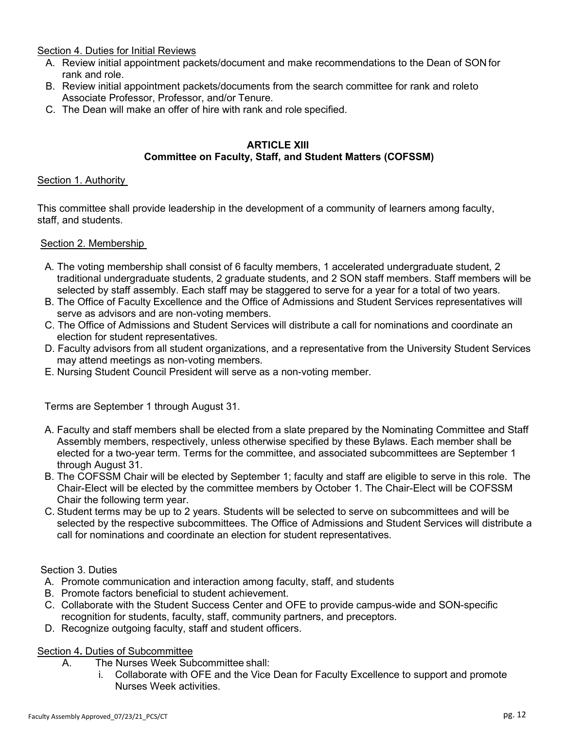Section 4. Duties for Initial Reviews

- A. Review initial appointment packets/document and make recommendations to the Dean of SON for rank and role.
- B. Review initial appointment packets/documents from the search committee for rank and roleto Associate Professor, Professor, and/or Tenure.
- C. The Dean will make an offer of hire with rank and role specified.

#### **ARTICLE XIII Committee on Faculty, Staff, and Student Matters (COFSSM)**

## Section 1. Authority

This committee shall provide leadership in the development of a community of learners among faculty, staff, and students.

## Section 2. Membership

- A. The voting membership shall consist of 6 faculty members, 1 accelerated undergraduate student, 2 traditional undergraduate students, 2 graduate students, and 2 SON staff members. Staff members will be selected by staff assembly. Each staff may be staggered to serve for a year for a total of two years.
- B. The Office of Faculty Excellence and the Office of Admissions and Student Services representatives will serve as advisors and are non-voting members.
- C. The Office of Admissions and Student Services will distribute a call for nominations and coordinate an election for student representatives.
- D. Faculty advisors from all student organizations, and a representative from the University Student Services may attend meetings as non-voting members.
- E. Nursing Student Council President will serve as a non-voting member.

Terms are September 1 through August 31.

- A. Faculty and staff members shall be elected from a slate prepared by the Nominating Committee and Staff Assembly members, respectively, unless otherwise specified by these Bylaws. Each member shall be elected for a two-year term. Terms for the committee, and associated subcommittees are September 1 through August 31.
- B. The COFSSM Chair will be elected by September 1; faculty and staff are eligible to serve in this role. The Chair-Elect will be elected by the committee members by October 1. The Chair-Elect will be COFSSM Chair the following term year.
- C. Student terms may be up to 2 years. Students will be selected to serve on subcommittees and will be selected by the respective subcommittees. The Office of Admissions and Student Services will distribute a call for nominations and coordinate an election for student representatives.

## Section 3. Duties

- A. Promote communication and interaction among faculty, staff, and students
- B. Promote factors beneficial to student achievement.
- C. Collaborate with the Student Success Center and OFE to provide campus-wide and SON-specific recognition for students, faculty, staff, community partners, and preceptors.
- D. Recognize outgoing faculty, staff and student officers.

## Section 4**.** Duties of Subcommittee

- A. The Nurses Week Subcommittee shall:
	- i. Collaborate with OFE and the Vice Dean for Faculty Excellence to support and promote Nurses Week activities.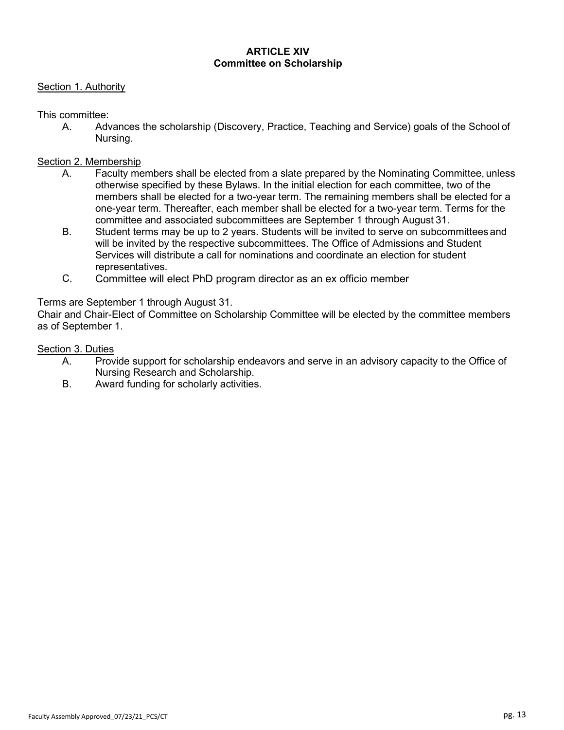### **ARTICLE XIV Committee on Scholarship**

#### Section 1. Authority

This committee:

A. Advances the scholarship (Discovery, Practice, Teaching and Service) goals of the School of Nursing.

#### Section 2. Membership

- A. Faculty members shall be elected from a slate prepared by the Nominating Committee, unless otherwise specified by these Bylaws. In the initial election for each committee, two of the members shall be elected for a two-year term. The remaining members shall be elected for a one-year term. Thereafter, each member shall be elected for a two-year term. Terms for the committee and associated subcommittees are September 1 through August 31.
- B. Student terms may be up to 2 years. Students will be invited to serve on subcommittees and will be invited by the respective subcommittees. The Office of Admissions and Student Services will distribute a call for nominations and coordinate an election for student representatives.
- C. Committee will elect PhD program director as an ex officio member

#### Terms are September 1 through August 31.

Chair and Chair-Elect of Committee on Scholarship Committee will be elected by the committee members as of September 1.

#### Section 3. Duties

- A. Provide support for scholarship endeavors and serve in an advisory capacity to the Office of Nursing Research and Scholarship.
- B. Award funding for scholarly activities.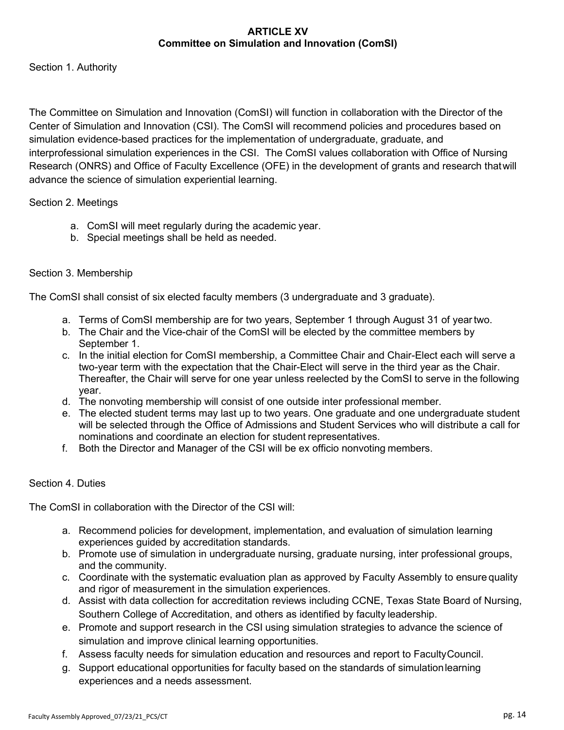## **ARTICLE XV Committee on Simulation and Innovation (ComSI)**

Section 1. Authority

The Committee on Simulation and Innovation (ComSI) will function in collaboration with the Director of the Center of Simulation and Innovation (CSI). The ComSI will recommend policies and procedures based on simulation evidence-based practices for the implementation of undergraduate, graduate, and interprofessional simulation experiences in the CSI. The ComSI values collaboration with Office of Nursing Research (ONRS) and Office of Faculty Excellence (OFE) in the development of grants and research thatwill advance the science of simulation experiential learning.

## Section 2. Meetings

- a. ComSI will meet regularly during the academic year.
- b. Special meetings shall be held as needed.

## Section 3. Membership

The ComSI shall consist of six elected faculty members (3 undergraduate and 3 graduate).

- a. Terms of ComSI membership are for two years, September 1 through August 31 of yeartwo.
- b. The Chair and the Vice-chair of the ComSI will be elected by the committee members by September 1.
- c. In the initial election for ComSI membership, a Committee Chair and Chair-Elect each will serve a two-year term with the expectation that the Chair-Elect will serve in the third year as the Chair. Thereafter, the Chair will serve for one year unless reelected by the ComSI to serve in the following year.
- d. The nonvoting membership will consist of one outside inter professional member.
- e. The elected student terms may last up to two years. One graduate and one undergraduate student will be selected through the Office of Admissions and Student Services who will distribute a call for nominations and coordinate an election for student representatives.
- f. Both the Director and Manager of the CSI will be ex officio nonvoting members.

## Section 4. Duties

The ComSI in collaboration with the Director of the CSI will:

- a. Recommend policies for development, implementation, and evaluation of simulation learning experiences guided by accreditation standards.
- b. Promote use of simulation in undergraduate nursing, graduate nursing, inter professional groups, and the community.
- c. Coordinate with the systematic evaluation plan as approved by Faculty Assembly to ensure quality and rigor of measurement in the simulation experiences.
- d. Assist with data collection for accreditation reviews including CCNE, Texas State Board of Nursing, Southern College of Accreditation, and others as identified by faculty leadership.
- e. Promote and support research in the CSI using simulation strategies to advance the science of simulation and improve clinical learning opportunities.
- f. Assess faculty needs for simulation education and resources and report to FacultyCouncil.
- g. Support educational opportunities for faculty based on the standards of simulationlearning experiences and a needs assessment.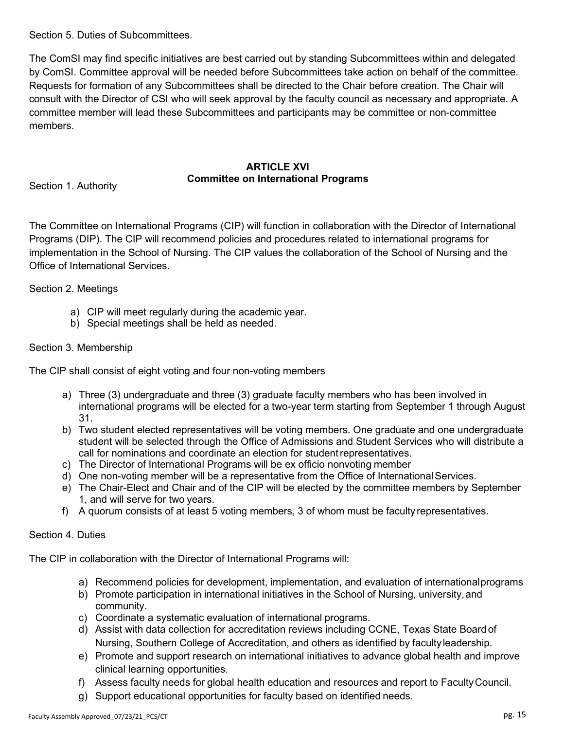Section 5. Duties of Subcommittees.

The ComSI may find specific initiatives are best carried out by standing Subcommittees within and delegated by ComSI. Committee approval will be needed before Subcommittees take action on behalf of the committee. Requests for formation of any Subcommittees shall be directed to the Chair before creation. The Chair will consult with the Director of CSI who will seek approval by the faculty council as necessary and appropriate. A committee member will lead these Subcommittees and participants may be committee or non-committee members.

# **ARTICLE XVI Committee on International Programs**

Section 1. Authority

The Committee on International Programs (CIP) will function in collaboration with the Director of International Programs (DIP). The CIP will recommend policies and procedures related to international programs for implementation in the School of Nursing. The CIP values the collaboration of the School of Nursing and the Office of International Services.

Section 2. Meetings

- a) CIP will meet regularly during the academic year.
- b) Special meetings shall be held as needed.

# Section 3. Membership

The CIP shall consist of eight voting and four non-voting members

- a) Three (3) undergraduate and three (3) graduate faculty members who has been involved in international programs will be elected for a two-year term starting from September 1 through August 31.
- b) Two student elected representatives will be voting members. One graduate and one undergraduate student will be selected through the Office of Admissions and Student Services who will distribute a call for nominations and coordinate an election for studentrepresentatives.
- c) The Director of International Programs will be ex officio nonvoting member
- d) One non-voting member will be a representative from the Office of InternationalServices.
- e) The Chair-Elect and Chair and of the CIP will be elected by the committee members by September 1, and will serve for two years.
- f) A quorum consists of at least 5 voting members, 3 of whom must be faculty representatives.

## Section 4. Duties

The CIP in collaboration with the Director of International Programs will:

- a) Recommend policies for development, implementation, and evaluation of internationalprograms
- b) Promote participation in international initiatives in the School of Nursing, university, and community.
- c) Coordinate a systematic evaluation of international programs.
- d) Assist with data collection for accreditation reviews including CCNE, Texas State Board of Nursing, Southern College of Accreditation, and others as identified by facultyleadership.
- e) Promote and support research on international initiatives to advance global health and improve clinical learning opportunities.
- f) Assess faculty needs for global health education and resources and report to FacultyCouncil.
- g) Support educational opportunities for faculty based on identified needs.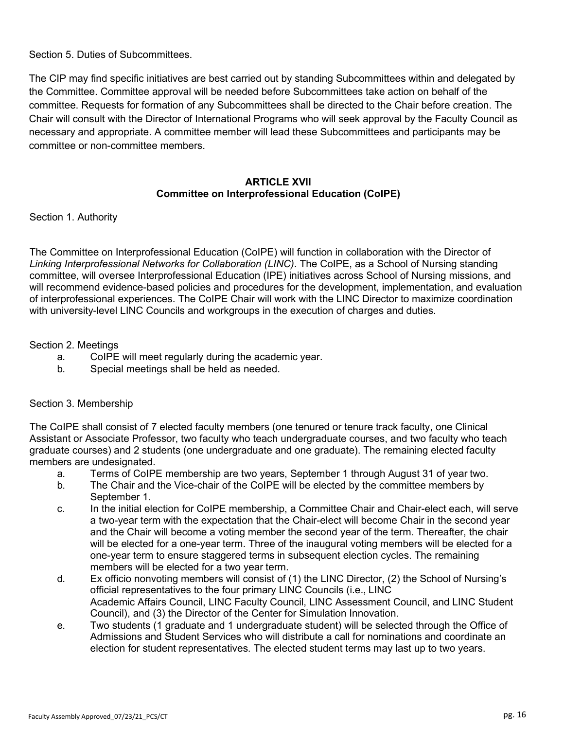Section 5. Duties of Subcommittees.

The CIP may find specific initiatives are best carried out by standing Subcommittees within and delegated by the Committee. Committee approval will be needed before Subcommittees take action on behalf of the committee. Requests for formation of any Subcommittees shall be directed to the Chair before creation. The Chair will consult with the Director of International Programs who will seek approval by the Faculty Council as necessary and appropriate. A committee member will lead these Subcommittees and participants may be committee or non-committee members.

# **ARTICLE XVII Committee on Interprofessional Education (CoIPE)**

Section 1. Authority

The Committee on Interprofessional Education (CoIPE) will function in collaboration with the Director of *Linking Interprofessional Networks for Collaboration (LINC)*. The CoIPE, as a School of Nursing standing committee, will oversee Interprofessional Education (IPE) initiatives across School of Nursing missions, and will recommend evidence-based policies and procedures for the development, implementation, and evaluation of interprofessional experiences. The CoIPE Chair will work with the LINC Director to maximize coordination with university-level LINC Councils and workgroups in the execution of charges and duties.

#### Section 2. Meetings

- a. CoIPE will meet regularly during the academic year.
- b. Special meetings shall be held as needed.

#### Section 3. Membership

The CoIPE shall consist of 7 elected faculty members (one tenured or tenure track faculty, one Clinical Assistant or Associate Professor, two faculty who teach undergraduate courses, and two faculty who teach graduate courses) and 2 students (one undergraduate and one graduate). The remaining elected faculty members are undesignated.

- a. Terms of CoIPE membership are two years, September 1 through August 31 of year two.
- b. The Chair and the Vice-chair of the CoIPE will be elected by the committee members by September 1.
- c. In the initial election for CoIPE membership, a Committee Chair and Chair-elect each, will serve a two-year term with the expectation that the Chair-elect will become Chair in the second year and the Chair will become a voting member the second year of the term. Thereafter, the chair will be elected for a one-year term. Three of the inaugural voting members will be elected for a one-year term to ensure staggered terms in subsequent election cycles. The remaining members will be elected for a two year term.
- d. Ex officio nonvoting members will consist of (1) the LINC Director, (2) the School of Nursing's official representatives to the four primary LINC Councils (i.e., LINC Academic Affairs Council, LINC Faculty Council, LINC Assessment Council, and LINC Student Council), and (3) the Director of the Center for Simulation Innovation.
- e. Two students (1 graduate and 1 undergraduate student) will be selected through the Office of Admissions and Student Services who will distribute a call for nominations and coordinate an election for student representatives. The elected student terms may last up to two years.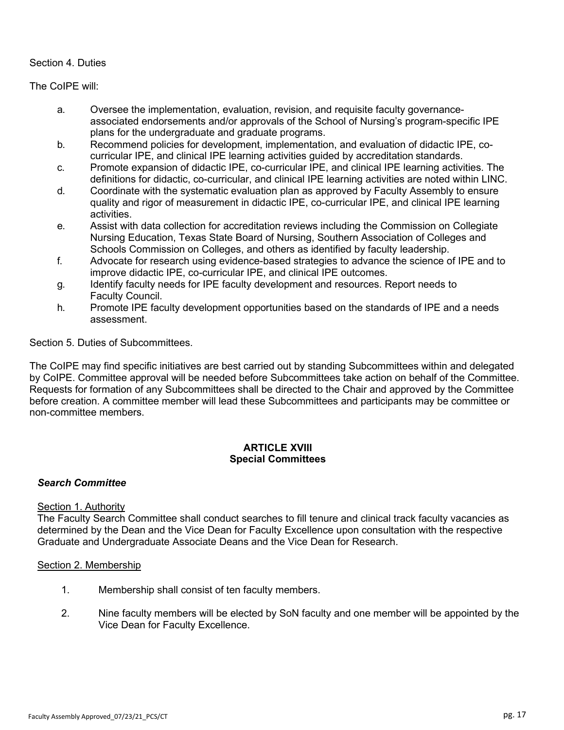# Section 4. Duties

The CoIPE will:

- a. Oversee the implementation, evaluation, revision, and requisite faculty governanceassociated endorsements and/or approvals of the School of Nursing's program-specific IPE plans for the undergraduate and graduate programs.
- b. Recommend policies for development, implementation, and evaluation of didactic IPE, cocurricular IPE, and clinical IPE learning activities guided by accreditation standards.
- c. Promote expansion of didactic IPE, co-curricular IPE, and clinical IPE learning activities. The definitions for didactic, co-curricular, and clinical IPE learning activities are noted within LINC.
- d. Coordinate with the systematic evaluation plan as approved by Faculty Assembly to ensure quality and rigor of measurement in didactic IPE, co-curricular IPE, and clinical IPE learning activities.
- e. Assist with data collection for accreditation reviews including the Commission on Collegiate Nursing Education, Texas State Board of Nursing, Southern Association of Colleges and Schools Commission on Colleges, and others as identified by faculty leadership.
- f. Advocate for research using evidence-based strategies to advance the science of IPE and to improve didactic IPE, co-curricular IPE, and clinical IPE outcomes.
- g. Identify faculty needs for IPE faculty development and resources. Report needs to Faculty Council.
- h. Promote IPE faculty development opportunities based on the standards of IPE and a needs assessment.

Section 5. Duties of Subcommittees.

The CoIPE may find specific initiatives are best carried out by standing Subcommittees within and delegated by CoIPE. Committee approval will be needed before Subcommittees take action on behalf of the Committee. Requests for formation of any Subcommittees shall be directed to the Chair and approved by the Committee before creation. A committee member will lead these Subcommittees and participants may be committee or non-committee members.

#### **ARTICLE XVIII Special Committees**

# *Search Committee*

## Section 1. Authority

The Faculty Search Committee shall conduct searches to fill tenure and clinical track faculty vacancies as determined by the Dean and the Vice Dean for Faculty Excellence upon consultation with the respective Graduate and Undergraduate Associate Deans and the Vice Dean for Research.

## Section 2. Membership

- 1. Membership shall consist of ten faculty members.
- 2. Nine faculty members will be elected by SoN faculty and one member will be appointed by the Vice Dean for Faculty Excellence.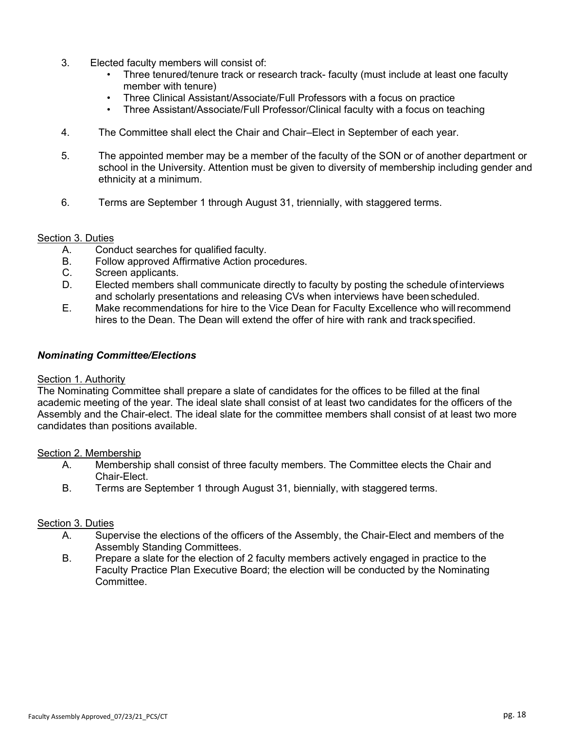- 3. Elected faculty members will consist of:
	- Three tenured/tenure track or research track- faculty (must include at least one faculty member with tenure)
	- Three Clinical Assistant/Associate/Full Professors with a focus on practice
	- Three Assistant/Associate/Full Professor/Clinical faculty with a focus on teaching
- 4. The Committee shall elect the Chair and Chair–Elect in September of each year.
- 5. The appointed member may be a member of the faculty of the SON or of another department or school in the University. Attention must be given to diversity of membership including gender and ethnicity at a minimum.
- 6. Terms are September 1 through August 31, triennially, with staggered terms.

#### Section 3. Duties

- A. Conduct searches for qualified faculty.
- B. Follow approved Affirmative Action procedures.
- C. Screen applicants.
- D. Elected members shall communicate directly to faculty by posting the schedule ofinterviews and scholarly presentations and releasing CVs when interviews have beenscheduled.
- E. Make recommendations for hire to the Vice Dean for Faculty Excellence who willrecommend hires to the Dean. The Dean will extend the offer of hire with rank and trackspecified.

#### *Nominating Committee/Elections*

#### Section 1. Authority

The Nominating Committee shall prepare a slate of candidates for the offices to be filled at the final academic meeting of the year. The ideal slate shall consist of at least two candidates for the officers of the Assembly and the Chair-elect. The ideal slate for the committee members shall consist of at least two more candidates than positions available.

#### Section 2. Membership

- A. Membership shall consist of three faculty members. The Committee elects the Chair and Chair-Elect.
- B. Terms are September 1 through August 31, biennially, with staggered terms.

### Section 3. Duties

- A. Supervise the elections of the officers of the Assembly, the Chair-Elect and members of the Assembly Standing Committees.
- B. Prepare a slate for the election of 2 faculty members actively engaged in practice to the Faculty Practice Plan Executive Board; the election will be conducted by the Nominating Committee.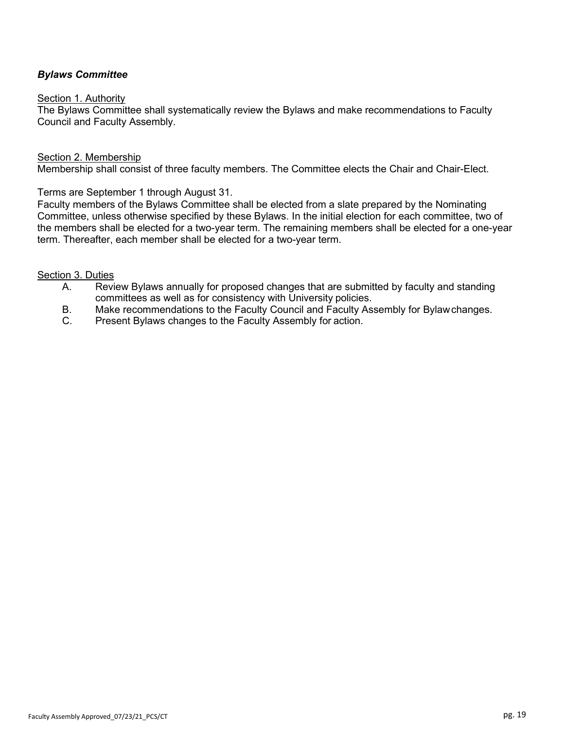# *Bylaws Committee*

#### Section 1. Authority

The Bylaws Committee shall systematically review the Bylaws and make recommendations to Faculty Council and Faculty Assembly.

#### Section 2. Membership

Membership shall consist of three faculty members. The Committee elects the Chair and Chair-Elect.

Terms are September 1 through August 31.

Faculty members of the Bylaws Committee shall be elected from a slate prepared by the Nominating Committee, unless otherwise specified by these Bylaws. In the initial election for each committee, two of the members shall be elected for a two-year term. The remaining members shall be elected for a one-year term. Thereafter, each member shall be elected for a two-year term.

#### Section 3. Duties

- A. Review Bylaws annually for proposed changes that are submitted by faculty and standing committees as well as for consistency with University policies.
- B. Make recommendations to the Faculty Council and Faculty Assembly for Bylawchanges.<br>C. Present Bylaws changes to the Faculty Assembly for action.
- Present Bylaws changes to the Faculty Assembly for action.